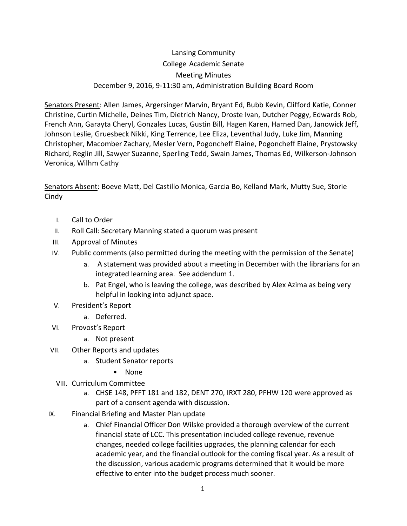## Lansing Community College Academic Senate Meeting Minutes December 9, 2016, 9-11:30 am, Administration Building Board Room

Senators Present: Allen James, Argersinger Marvin, Bryant Ed, Bubb Kevin, Clifford Katie, Conner Christine, Curtin Michelle, Deines Tim, Dietrich Nancy, Droste Ivan, Dutcher Peggy, Edwards Rob, French Ann, Garayta Cheryl, Gonzales Lucas, Gustin Bill, Hagen Karen, Harned Dan, Janowick Jeff, Johnson Leslie, Gruesbeck Nikki, King Terrence, Lee Eliza, Leventhal Judy, Luke Jim, Manning Christopher, Macomber Zachary, Mesler Vern, Pogoncheff Elaine, Pogoncheff Elaine, Prystowsky Richard, Reglin Jill, Sawyer Suzanne, Sperling Tedd, Swain James, Thomas Ed, Wilkerson-Johnson Veronica, Wilhm Cathy

Senators Absent: Boeve Matt, Del Castillo Monica, Garcia Bo, Kelland Mark, Mutty Sue, Storie **Cindy** 

- I. Call to Order
- II. Roll Call: Secretary Manning stated a quorum was present
- III. Approval of Minutes
- IV. Public comments (also permitted during the meeting with the permission of the Senate)
	- a. A statement was provided about a meeting in December with the librarians for an integrated learning area. See addendum 1.
	- b. Pat Engel, who is leaving the college, was described by Alex Azima as being very helpful in looking into adjunct space.
- V. President's Report
	- a. Deferred.
- VI. Provost's Report
	- a. Not present
- VII. Other Reports and updates
	- a. Student Senator reports
		- None
	- VIII. Curriculum Committee
		- a. CHSE 148, PFFT 181 and 182, DENT 270, IRXT 280, PFHW 120 were approved as part of a consent agenda with discussion.
- IX. Financial Briefing and Master Plan update
	- a. Chief Financial Officer Don Wilske provided a thorough overview of the current financial state of LCC. This presentation included college revenue, revenue changes, needed college facilities upgrades, the planning calendar for each academic year, and the financial outlook for the coming fiscal year. As a result of the discussion, various academic programs determined that it would be more effective to enter into the budget process much sooner.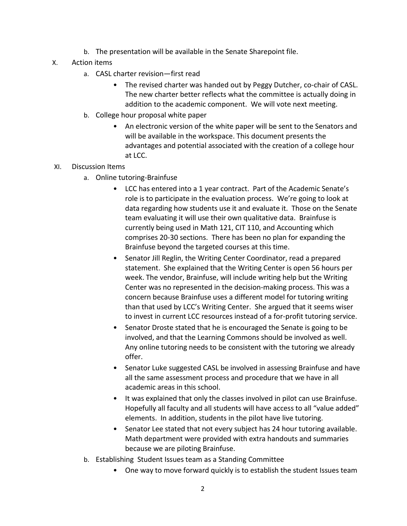- b. The presentation will be available in the Senate Sharepoint file.
- X. Action items
	- a. CASL charter revision—first read
		- The revised charter was handed out by Peggy Dutcher, co-chair of CASL. The new charter better reflects what the committee is actually doing in addition to the academic component. We will vote next meeting.
	- b. College hour proposal white paper
		- An electronic version of the white paper will be sent to the Senators and will be available in the workspace. This document presents the advantages and potential associated with the creation of a college hour at LCC.

## XI. Discussion Items

- a. Online tutoring-Brainfuse
	- LCC has entered into a 1 year contract. Part of the Academic Senate's role is to participate in the evaluation process. We're going to look at data regarding how students use it and evaluate it. Those on the Senate team evaluating it will use their own qualitative data. Brainfuse is currently being used in Math 121, CIT 110, and Accounting which comprises 20-30 sections. There has been no plan for expanding the Brainfuse beyond the targeted courses at this time.
	- Senator Jill Reglin, the Writing Center Coordinator, read a prepared statement. She explained that the Writing Center is open 56 hours per week. The vendor, Brainfuse, will include writing help but the Writing Center was no represented in the decision-making process. This was a concern because Brainfuse uses a different model for tutoring writing than that used by LCC's Writing Center. She argued that it seems wiser to invest in current LCC resources instead of a for-profit tutoring service.
	- Senator Droste stated that he is encouraged the Senate is going to be involved, and that the Learning Commons should be involved as well. Any online tutoring needs to be consistent with the tutoring we already offer.
	- Senator Luke suggested CASL be involved in assessing Brainfuse and have all the same assessment process and procedure that we have in all academic areas in this school.
	- It was explained that only the classes involved in pilot can use Brainfuse. Hopefully all faculty and all students will have access to all "value added" elements. In addition, students in the pilot have live tutoring.
	- Senator Lee stated that not every subject has 24 hour tutoring available. Math department were provided with extra handouts and summaries because we are piloting Brainfuse.
- b. Establishing Student Issues team as a Standing Committee
	- One way to move forward quickly is to establish the student Issues team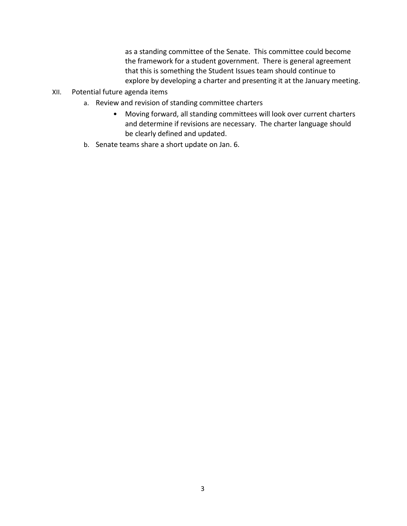as a standing committee of the Senate. This committee could become the framework for a student government. There is general agreement that this is something the Student Issues team should continue to explore by developing a charter and presenting it at the January meeting.

- XII. Potential future agenda items
	- a. Review and revision of standing committee charters
		- Moving forward, all standing committees will look over current charters and determine if revisions are necessary. The charter language should be clearly defined and updated.
	- b. Senate teams share a short update on Jan. 6.